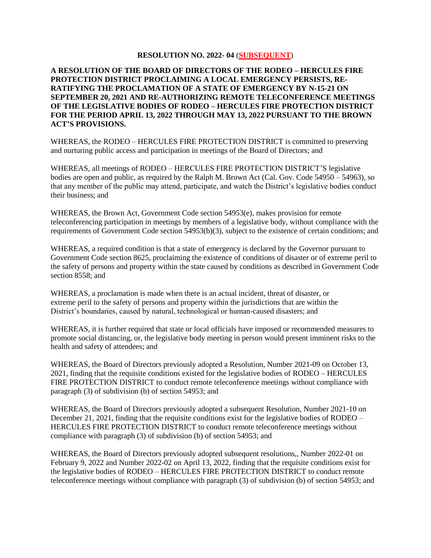## **RESOLUTION NO. 2022- 04** (**SUBSEQUENT**)

## **A RESOLUTION OF THE BOARD OF DIRECTORS OF THE RODEO – HERCULES FIRE PROTECTION DISTRICT PROCLAIMING A LOCAL EMERGENCY PERSISTS, RE-RATIFYING THE PROCLAMATION OF A STATE OF EMERGENCY BY N-15-21 ON SEPTEMBER 20, 2021 AND RE-AUTHORIZING REMOTE TELECONFERENCE MEETINGS OF THE LEGISLATIVE BODIES OF RODEO – HERCULES FIRE PROTECTION DISTRICT FOR THE PERIOD APRIL 13, 2022 THROUGH MAY 13, 2022 PURSUANT TO THE BROWN ACT'S PROVISIONS.**

WHEREAS, the RODEO – HERCULES FIRE PROTECTION DISTRICT is committed to preserving and nurturing public access and participation in meetings of the Board of Directors; and

WHEREAS, all meetings of RODEO – HERCULES FIRE PROTECTION DISTRICT'S legislative bodies are open and public, as required by the Ralph M. Brown Act (Cal. Gov. Code 54950 – 54963), so that any member of the public may attend, participate, and watch the District's legislative bodies conduct their business; and

WHEREAS, the Brown Act, Government Code section 54953(e), makes provision for remote teleconferencing participation in meetings by members of a legislative body, without compliance with the requirements of Government Code section 54953(b)(3), subject to the existence of certain conditions; and

WHEREAS, a required condition is that a state of emergency is declared by the Governor pursuant to Government Code section 8625, proclaiming the existence of conditions of disaster or of extreme peril to the safety of persons and property within the state caused by conditions as described in Government Code section 8558; and

WHEREAS, a proclamation is made when there is an actual incident, threat of disaster, or extreme peril to the safety of persons and property within the jurisdictions that are within the District's boundaries, caused by natural, technological or human-caused disasters; and

WHEREAS, it is further required that state or local officials have imposed or recommended measures to promote social distancing, or, the legislative body meeting in person would present imminent risks to the health and safety of attendees; and

WHEREAS, the Board of Directors previously adopted a Resolution, Number 2021-09 on October 13, 2021, finding that the requisite conditions existed for the legislative bodies of RODEO – HERCULES FIRE PROTECTION DISTRICT to conduct remote teleconference meetings without compliance with paragraph (3) of subdivision (b) of section 54953; and

WHEREAS, the Board of Directors previously adopted a subsequent Resolution, Number 2021-10 on December 21, 2021, finding that the requisite conditions exist for the legislative bodies of RODEO – HERCULES FIRE PROTECTION DISTRICT to conduct remote teleconference meetings without compliance with paragraph (3) of subdivision (b) of section 54953; and

WHEREAS, the Board of Directors previously adopted subsequent resolutions,, Number 2022-01 on February 9, 2022 and Number 2022-02 on April 13, 2022, finding that the requisite conditions exist for the legislative bodies of RODEO – HERCULES FIRE PROTECTION DISTRICT to conduct remote teleconference meetings without compliance with paragraph (3) of subdivision (b) of section 54953; and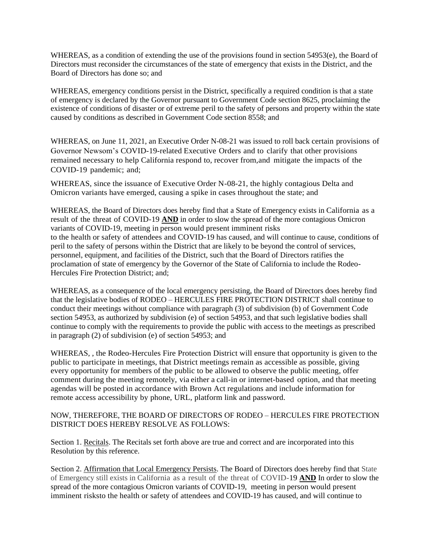WHEREAS, as a condition of extending the use of the provisions found in section 54953(e), the Board of Directors must reconsider the circumstances of the state of emergency that exists in the District, and the Board of Directors has done so; and

WHEREAS, emergency conditions persist in the District, specifically a required condition is that a state of emergency is declared by the Governor pursuant to Government Code section 8625, proclaiming the existence of conditions of disaster or of extreme peril to the safety of persons and property within the state caused by conditions as described in Government Code section 8558; and

WHEREAS, on June 11, 2021, an Executive Order N-08-21 was issued to roll back certain provisions of Governor Newsom's COVID-19-related Executive Orders and to clarify that other provisions remained necessary to help California respond to, recover from,and mitigate the impacts of the COVID-19 pandemic; and;

WHEREAS, since the issuance of Executive Order N-08-21, the highly contagious Delta and Omicron variants have emerged, causing a spike in cases throughout the state; and

WHEREAS, the Board of Directors does hereby find that a State of Emergency exists in California as a result of the threat of COVID-19 **AND** in order to slow the spread of the more contagious Omicron variants of COVID-19, meeting in person would present imminent risks to the health or safety of attendees and COVID-19 has caused, and will continue to cause, conditions of peril to the safety of persons within the District that are likely to be beyond the control of services, personnel, equipment, and facilities of the District, such that the Board of Directors ratifies the proclamation of state of emergency by the Governor of the State of California to include the Rodeo-Hercules Fire Protection District; and;

WHEREAS, as a consequence of the local emergency persisting, the Board of Directors does hereby find that the legislative bodies of RODEO – HERCULES FIRE PROTECTION DISTRICT shall continue to conduct their meetings without compliance with paragraph (3) of subdivision (b) of Government Code section 54953, as authorized by subdivision (e) of section 54953, and that such legislative bodies shall continue to comply with the requirements to provide the public with access to the meetings as prescribed in paragraph (2) of subdivision (e) of section 54953; and

WHEREAS, , the Rodeo-Hercules Fire Protection District will ensure that opportunity is given to the public to participate in meetings, that District meetings remain as accessible as possible, giving every opportunity for members of the public to be allowed to observe the public meeting, offer comment during the meeting remotely, via either a call-in or internet-based option, and that meeting agendas will be posted in accordance with Brown Act regulations and include information for remote access accessibility by phone, URL, platform link and password.

## NOW, THEREFORE, THE BOARD OF DIRECTORS OF RODEO – HERCULES FIRE PROTECTION DISTRICT DOES HEREBY RESOLVE AS FOLLOWS:

Section 1. Recitals. The Recitals set forth above are true and correct and are incorporated into this Resolution by this reference.

Section 2. Affirmation that Local Emergency Persists. The Board of Directors does hereby find that State of Emergency still exists in California as a result of the threat of COVID-19 **AND** In order to slow the spread of the more contagious Omicron variants of COVID-19, meeting in person would present imminent risksto the health or safety of attendees and COVID-19 has caused, and will continue to